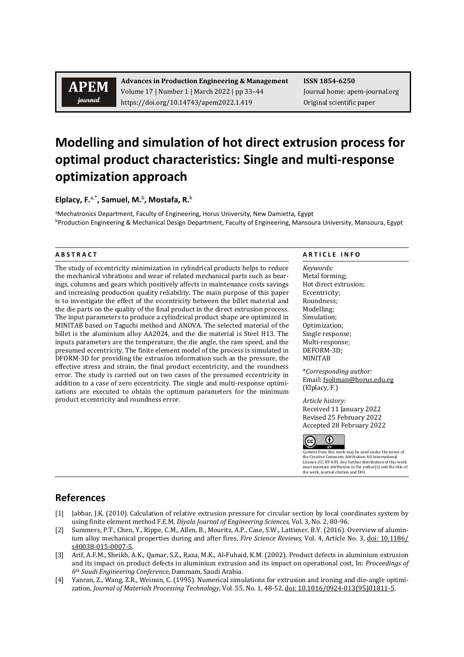## **APEM** journal

**Advances in Production Engineering & Management ISSN 1854-6250** Volume 17 | Number 1 | March 2022 | pp 33-44 Journal home: apem-journal.org https://doi.org/10.14743/apem2022.1.419 Original scientific paper

# **Modelling and simulation of hot direct extrusion process for optimal product characteristics: Single and multi-response optimization approach**

**Elplacy, F.**a,\* **, Samuel, M.**<sup>b</sup> **, Mostafa, R.**<sup>b</sup>

<sup>a</sup>Mechatronics Department, Faculty of Engineering, Horus University, New Damietta, Egypt bProduction Engineering & Mechanical Design Department, Faculty of Engineering, Mansoura University, Mansoura, Egypt

The study of eccentricity minimization in cylindrical products helps to reduce the mechanical vibrations and wear of related mechanical parts such as bearings, columns and gears which positively affects in maintenance costs savings and increasing production quality reliability. The main purpose of this paper is to investigate the effect of the eccentricity between the billet material and the die parts on the quality of the final product in the direct extrusion process. The input parameters to produce a cylindrical product shape are optimized in MINITAB based on Taguchi method and ANOVA. The selected material of the billet is the aluminium alloy AA2024, and the die material is Steel H13. The inputs parameters are the temperature, the die angle, the ram speed, and the presumed eccentricity. The finite element model of the process is simulated in DFORM-3D for providing the extrusion information such as the pressure, the effective stress and strain, the final product eccentricity, and the roundness error. The study is carried out on two cases of the presumed eccentricity in addition to a case of zero eccentricity. The single and multi-response optimizations are executed to obtain the optimum parameters for the minimum product eccentricity and roundness error.

### **A B S T R A C T A R T I C L E I N F O**

*Keywords:* Metal forming; Hot direct extrusion; Eccentricity; Roundness; Modelling; Simulation; Optimization; Single response; Multi-response; DEFORM-3D; MINITAB

\**Corresponding author:*  Email[: fsoliman@horus.edu.eg](mailto:fsoliman@horus.edu.eg) (Elplacy, F.)

*Article history:*  Received 11 January 2022 Revised 25 February 2022 Accepted 28 February 2022



EX EXTERN FROM THE USE OF THE USE OF THE TERM OF THE TERM OF THE TERM OF THE USE OF THE USE OF THE USE OF THE USE OF THE USE OF THE USE OF THE USE OF THE USE OF THE USE OF THE USE OF THE USE OF THE USE OF THE USE OF THE US the Creative Commons Attribution 4.0 International Licence (CC BY 4.0). Any further distribution of this work must maintain attribution to the author(s) and the title of the work, journal citation and DOI.

### **References**

- [1] Jabbar, J.K. (2010). Calculation of relative extrusion pressure for circular section by local coordinates system by using finite element method F.E.M, *Diyala Journal of Engineering Sciences,* Vol. 3, No. 2, 80-96.
- [2] Summers, P.T., Chen, Y., Rippe, C.M., Allen, B., Mouritz, A.P., Case, S.W., Lattimer, B.Y. (2016). Overview of aluminium alloy mechanical properties during and after fires, *Fire Science Reviews,* Vol. 4, Article No. 3, [doi: 10.1186/](https://doi.org/10.1186/s40038-015-0007-5) [s40038-015-0007-5.](https://doi.org/10.1186/s40038-015-0007-5)
- [3] Arif, A.F.M., Sheikh, A.K., Qamar, S.Z., Raza, M.K., Al-Fuhaid, K.M. (2002). Product defects in aluminium extrusion and its impact on product defects in aluminium extrusion and its impact on operational cost, In: *Proceedings of 6th Saudi Engineering Conference,* Dammam, Saudi Arabia.
- [4] Yanran, Z., Wang, Z.R., Weimin, C. (1995). Numerical simulations for extrusion and ironing and die-angle optimization, *Journal of Materials Processing Technology,* Vol. 55, No. 1, 48-52, [doi: 10.1016/0924-013\(95\)01811-5.](https://doi.org/10.1016/0924-0136(95)01811-5)